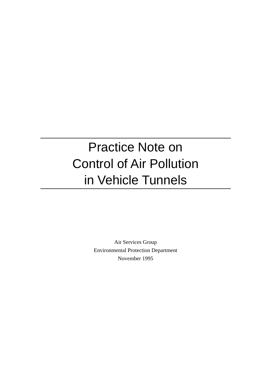# Practice Note on Control of Air Pollution in Vehicle Tunnels

Air Services Group Environmental Protection Department November 1995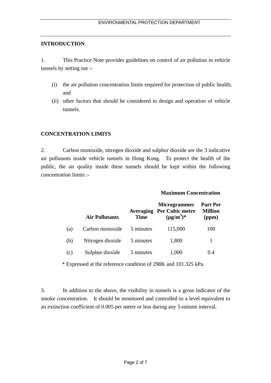#### **INTRODUCTION**

1. This Practice Note provides guidelines on control of air pollution in vehicle tunnels by setting out :-

- (i) the air pollution concentration limits required for protection of public health; and
- (ii) other factors that should be considered in design and operation of vehicle tunnels.

#### **CONCENTRATION LIMITS**

2. Carbon monoxide, nitrogen dioxide and sulphur dioxide are the 3 indicative air pollutants inside vehicle tunnels in Hong Kong. To protect the health of the public, the air quality inside these tunnels should be kept within the following concentration limits :-

#### **Maximum Concentration**

|     | <b>Air Pollutants</b> | <b>Time</b> | <b>Microgrammes</b><br><b>Averaging Per Cubic metre</b><br>$(\mu g/m^3)^*$ | <b>Part Per</b><br><b>Million</b><br>(ppm) |
|-----|-----------------------|-------------|----------------------------------------------------------------------------|--------------------------------------------|
| (a) | Carbon monoxide       | 5 minutes   | 115,000                                                                    | 100                                        |
| (b) | Nitrogen dioxide      | 5 minutes   | 1,800                                                                      | 1                                          |
| (c) | Sulphur dioxide       | 5 minutes   | 1,000                                                                      | (0.4)                                      |

\* Expressed at the reference condition of 298K and 101.325 kPa.

3. In addition to the above, the visibility in tunnels is a gross indicator of the smoke concentration. It should be monitored and controlled to a level equivalent to an extinction coefficient of 0.005 per metre or less during any 5-minute interval.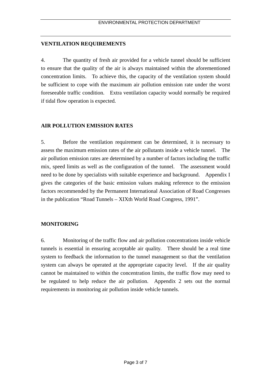#### **VENTILATION REQUIREMENTS**

4. The quantity of fresh air provided for a vehicle tunnel should be sufficient to ensure that the quality of the air is always maintained within the aforementioned concentration limits. To achieve this, the capacity of the ventilation system should be sufficient to cope with the maximum air pollution emission rate under the worst foreseeable traffic condition. Extra ventilation capacity would normally be required if tidal flow operation is expected.

#### **AIR POLLUTION EMISSION RATES**

5. Before the ventilation requirement can be determined, it is necessary to assess the maximum emission rates of the air pollutants inside a vehicle tunnel. The air pollution emission rates are determined by a number of factors including the traffic mix, speed limits as well as the configuration of the tunnel. The assessment would need to be done by specialists with suitable experience and background. Appendix I gives the categories of the basic emission values making reference to the emission factors recommended by the Permanent International Association of Road Congresses in the publication "Road Tunnels – XIXth World Road Congress, 1991".

#### **MONITORING**

6. Monitoring of the traffic flow and air pollution concentrations inside vehicle tunnels is essential in ensuring acceptable air quality. There should be a real time system to feedback the information to the tunnel management so that the ventilation system can always be operated at the appropriate capacity level. If the air quality cannot be maintained to within the concentration limits, the traffic flow may need to be regulated to help reduce the air pollution. Appendix 2 sets out the normal requirements in monitoring air pollution inside vehicle tunnels.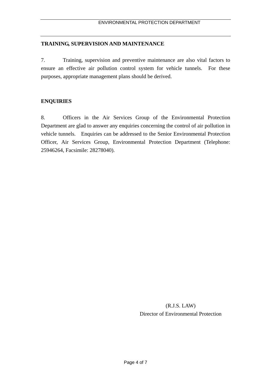#### **TRAINING, SUPERVISION AND MAINTENANCE**

7. Training, supervision and preventive maintenance are also vital factors to ensure an effective air pollution control system for vehicle tunnels. For these purposes, appropriate management plans should be derived.

#### **ENQUIRIES**

8. Officers in the Air Services Group of the Environmental Protection Department are glad to answer any enquiries concerning the control of air pollution in vehicle tunnels. Enquiries can be addressed to the Senior Environmental Protection Officer, Air Services Group, Environmental Protection Department (Telephone: 25946264, Facsimile: 28278040).

> (R.J.S. LAW) Director of Environmental Protection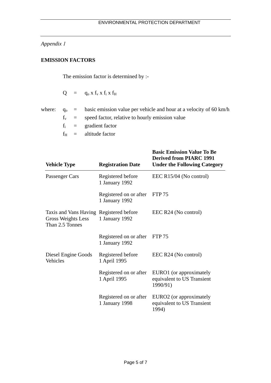## *Appendix 1*

## **EMISSION FACTORS**

The emission factor is determined by :-

| Q<br>$q_0$ x $f_v$ x $f_i$ x $f_H$ |  |  |  |  |  |
|------------------------------------|--|--|--|--|--|
|------------------------------------|--|--|--|--|--|

|  | where: $q_0$ = basic emission value per vehicle and hour at a velocity of 60 km/h |
|--|-----------------------------------------------------------------------------------|
|  | $f_v$ = speed factor, relative to hourly emission value                           |
|  | $f_i$ = gradient factor                                                           |
|  | $f_H$ = altitude factor                                                           |

| <b>Vehicle Type</b>                                                                     | <b>Registration Date</b>                 | <b>Basic Emission Value To Be</b><br><b>Derived from PIARC 1991</b><br><b>Under the Following Category</b> |
|-----------------------------------------------------------------------------------------|------------------------------------------|------------------------------------------------------------------------------------------------------------|
| Passenger Cars                                                                          | Registered before<br>1 January 1992      | EEC R15/04 (No control)                                                                                    |
|                                                                                         | Registered on or after<br>1 January 1992 | FTP 75                                                                                                     |
| Taxis and Vans Having Registered before<br><b>Gross Weights Less</b><br>Than 2.5 Tonnes | 1 January 1992                           | EEC R24 (No control)                                                                                       |
|                                                                                         | Registered on or after<br>1 January 1992 | <b>FTP 75</b>                                                                                              |
| Diesel Engine Goods<br>Vehicles                                                         | Registered before<br>1 April 1995        | $EEC R24$ (No control)                                                                                     |
|                                                                                         | Registered on or after<br>1 April 1995   | EURO1 (or approximately<br>equivalent to US Transient<br>1990/91)                                          |
|                                                                                         | Registered on or after<br>1 January 1998 | EURO2 (or approximately<br>equivalent to US Transient<br>1994)                                             |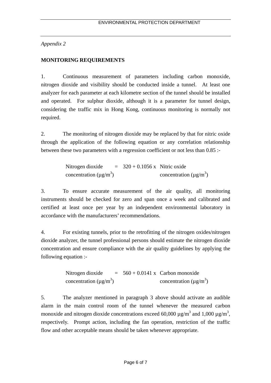*Appendix 2* 

### **MONITORING REQUIREMENTS**

1. Continuous measurement of parameters including carbon monoxide, nitrogen dioxide and visibility should be conducted inside a tunnel. At least one analyzer for each parameter at each kilometre section of the tunnel should be installed and operated. For sulphur dioxide, although it is a parameter for tunnel design, considering the traffic mix in Hong Kong, continuous monitoring is normally not required.

2. The monitoring of nitrogen dioxide may be replaced by that for nitric oxide through the application of the following equation or any correlation relationship between these two parameters with a regression coefficient or not less than 0.85 :-

> Nitrogen dioxide concentration ( $\mu$ g/m<sup>3</sup>)  $= 320 + 0.1056$  x Nitric oxide concentration ( $\mu$ g/m<sup>3</sup>)

3. To ensure accurate measurement of the air quality, all monitoring instruments should be checked for zero and span once a week and calibrated and certified at least once per year by an independent environmental laboratory in accordance with the manufacturers' recommendations.

4. For existing tunnels, prior to the retrofitting of the nitrogen oxides/nitrogen dioxide analyzer, the tunnel professional persons should estimate the nitrogen dioxide concentration and ensure compliance with the air quality guidelines by applying the following equation :-

> Nitrogen dioxide concentration ( $\mu$ g/m<sup>3</sup>)  $= 560 + 0.0141$  x Carbon monoxide concentration ( $\mu$ g/m<sup>3</sup>)

5. The analyzer mentioned in paragraph 3 above should activate an audible alarm in the main control room of the tunnel whenever the measured carbon monoxide and nitrogen dioxide concentrations exceed 60,000  $\mu$ g/m<sup>3</sup> and 1,000  $\mu$ g/m<sup>3</sup>, respectively. Prompt action, including the fan operation, restriction of the traffic flow and other acceptable means should be taken whenever appropriate.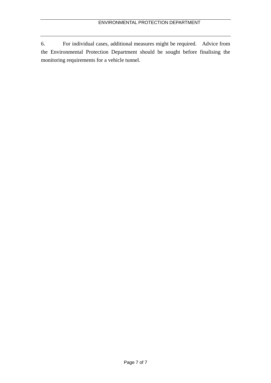6. For individual cases, additional measures might be required. Advice from the Environmental Protection Department should be sought before finalising the monitoring requirements for a vehicle tunnel.